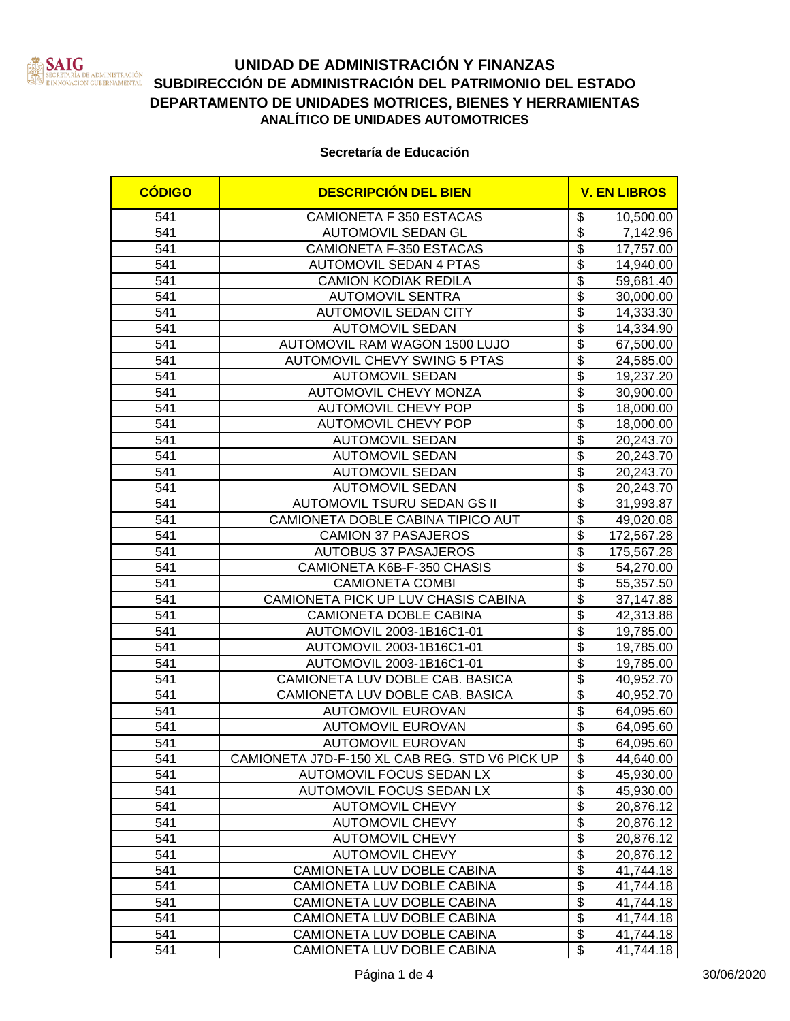

# **UNIDAD DE ADMINISTRACIÓN Y FINANZAS SATURE DE ADMINISTRACIÓN SUBDIRECCIÓN DE ADMINISTRACIÓN DEL PATRIMONIO DEL ESTADO**<br>ERNOVACIÓN CUBRINAMENTAL SUBDIRECCIÓN DE ADMINISTRACIÓN DEL PATRIMONIO DEL ESTADO **DEPARTAMENTO DE UNIDADES MOTRICES, BIENES Y HERRAMIENTAS ANALÍTICO DE UNIDADES AUTOMOTRICES**

#### **Secretaría de Educación**

| <b>CÓDIGO</b>    | <b>DESCRIPCIÓN DEL BIEN</b>                    | <b>V. EN LIBROS</b>      |            |
|------------------|------------------------------------------------|--------------------------|------------|
| 541              | <b>CAMIONETA F 350 ESTACAS</b>                 | \$                       | 10,500.00  |
| 541              | AUTOMOVIL SEDAN GL                             | $\overline{\$}$          | 7,142.96   |
| 541              | <b>CAMIONETA F-350 ESTACAS</b>                 | $\overline{\$}$          | 17,757.00  |
| 541              | <b>AUTOMOVIL SEDAN 4 PTAS</b>                  | $\overline{\$}$          | 14,940.00  |
| 541              | <b>CAMION KODIAK REDILA</b>                    | $\overline{\$}$          | 59,681.40  |
| 541              | <b>AUTOMOVIL SENTRA</b>                        | $\overline{\mathcal{L}}$ | 30,000.00  |
| 541              | <b>AUTOMOVIL SEDAN CITY</b>                    | $\overline{\$}$          | 14,333.30  |
| 541              | <b>AUTOMOVIL SEDAN</b>                         | $\overline{\$}$          | 14,334.90  |
| 541              | AUTOMOVIL RAM WAGON 1500 LUJO                  | $\overline{\$}$          | 67,500.00  |
| 541              | <b>AUTOMOVIL CHEVY SWING 5 PTAS</b>            | $\overline{\$}$          | 24,585.00  |
| 541              | <b>AUTOMOVIL SEDAN</b>                         | $\overline{\$}$          | 19,237.20  |
| 541              | <b>AUTOMOVIL CHEVY MONZA</b>                   | $\overline{\$}$          | 30,900.00  |
| 541              | <b>AUTOMOVIL CHEVY POP</b>                     | $\overline{\$}$          | 18,000.00  |
| 541              | <b>AUTOMOVIL CHEVY POP</b>                     | \$                       | 18,000.00  |
| 541              | <b>AUTOMOVIL SEDAN</b>                         | $\overline{\$}$          | 20,243.70  |
| 541              | <b>AUTOMOVIL SEDAN</b>                         | $\overline{\$}$          | 20,243.70  |
| 541              | <b>AUTOMOVIL SEDAN</b>                         | \$                       | 20,243.70  |
| 541              | <b>AUTOMOVIL SEDAN</b>                         | $\overline{\$}$          | 20,243.70  |
| 541              | AUTOMOVIL TSURU SEDAN GS II                    | $\overline{\$}$          | 31,993.87  |
| 541              | CAMIONETA DOBLE CABINA TIPICO AUT              | \$                       | 49,020.08  |
| 541              | <b>CAMION 37 PASAJEROS</b>                     | $\overline{\$}$          | 172,567.28 |
| 541              | <b>AUTOBUS 37 PASAJEROS</b>                    | $\overline{\$}$          | 175,567.28 |
| 541              | CAMIONETA K6B-F-350 CHASIS                     | $\overline{\$}$          | 54,270.00  |
| 541              | <b>CAMIONETA COMBI</b>                         | $\overline{\$}$          | 55,357.50  |
| 541              | CAMIONETA PICK UP LUV CHASIS CABINA            | $\overline{\$}$          | 37,147.88  |
| 541              | CAMIONETA DOBLE CABINA                         | $\overline{\$}$          | 42,313.88  |
| 541              | AUTOMOVIL 2003-1B16C1-01                       | $\overline{\$}$          | 19,785.00  |
| $\overline{541}$ | AUTOMOVIL 2003-1B16C1-01                       | $\overline{\$}$          | 19,785.00  |
| 541              | AUTOMOVIL 2003-1B16C1-01                       | $\overline{\$}$          | 19,785.00  |
| 541              | CAMIONETA LUV DOBLE CAB. BASICA                | $\overline{\$}$          | 40,952.70  |
| 541              | CAMIONETA LUV DOBLE CAB. BASICA                | $\overline{\$}$          | 40,952.70  |
| 541              | <b>AUTOMOVIL EUROVAN</b>                       | $\overline{\$}$          | 64,095.60  |
| 541              | <b>AUTOMOVIL EUROVAN</b>                       | $\overline{\$}$          | 64,095.60  |
| 541              | <b>AUTOMOVIL EUROVAN</b>                       | $\overline{\$}$          | 64,095.60  |
| 541              | CAMIONETA J7D-F-150 XL CAB REG. STD V6 PICK UP | \$                       | 44,640.00  |
| 541              | AUTOMOVIL FOCUS SEDAN LX                       | $\overline{\$}$          | 45,930.00  |
| 541              | AUTOMOVIL FOCUS SEDAN LX                       | $\overline{\mathcal{E}}$ | 45,930.00  |
| 541              | <b>AUTOMOVIL CHEVY</b>                         | $\overline{\$}$          | 20,876.12  |
| 541              | <b>AUTOMOVIL CHEVY</b>                         | \$                       | 20,876.12  |
| 541              | <b>AUTOMOVIL CHEVY</b>                         | $\overline{\$}$          | 20,876.12  |
| 541              | <b>AUTOMOVIL CHEVY</b>                         | $\overline{\mathbf{S}}$  | 20,876.12  |
| 541              | CAMIONETA LUV DOBLE CABINA                     | $\overline{\$}$          | 41,744.18  |
| 541              | CAMIONETA LUV DOBLE CABINA                     | $\overline{\$}$          | 41,744.18  |
| 541              | CAMIONETA LUV DOBLE CABINA                     | $\overline{\$}$          | 41,744.18  |
| 541              | CAMIONETA LUV DOBLE CABINA                     | $\overline{\$}$          | 41,744.18  |
| 541              | CAMIONETA LUV DOBLE CABINA                     | $\overline{\$}$          | 41,744.18  |
| 541              | CAMIONETA LUV DOBLE CABINA                     | \$                       | 41,744.18  |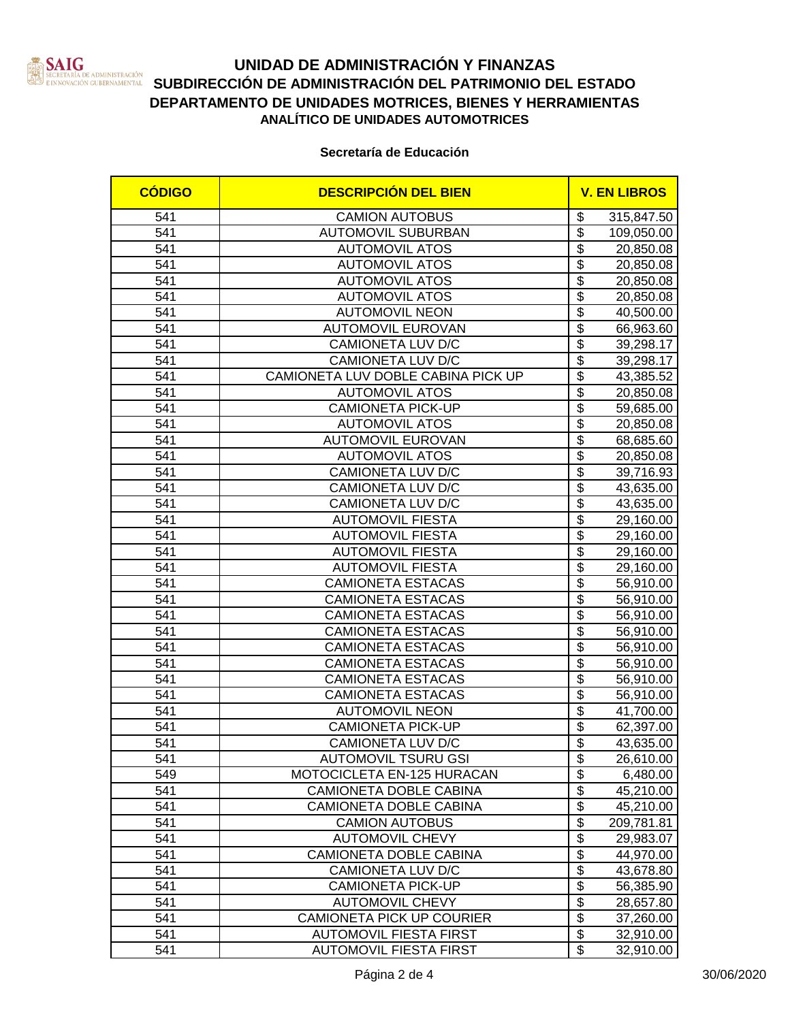

# **UNIDAD DE ADMINISTRACIÓN Y FINANZAS SATURE DE ADMINISTRACIÓN SUBDIRECCIÓN DE ADMINISTRACIÓN DEL PATRIMONIO DEL ESTADO**<br>ERNOVACIÓN CUBRINAMENTAL SUBDIRECCIÓN DE ADMINISTRACIÓN DEL PATRIMONIO DEL ESTADO **DEPARTAMENTO DE UNIDADES MOTRICES, BIENES Y HERRAMIENTAS ANALÍTICO DE UNIDADES AUTOMOTRICES**

#### **Secretaría de Educación**

| <b>CÓDIGO</b> | <b>DESCRIPCIÓN DEL BIEN</b>        |                                      | <b>V. EN LIBROS</b> |  |
|---------------|------------------------------------|--------------------------------------|---------------------|--|
| 541           | <b>CAMION AUTOBUS</b>              | \$                                   | 315,847.50          |  |
| 541           | <b>AUTOMOVIL SUBURBAN</b>          | \$                                   | 109,050.00          |  |
| 541           | <b>AUTOMOVIL ATOS</b>              | $\overline{\$}$                      | 20,850.08           |  |
| 541           | <b>AUTOMOVIL ATOS</b>              | $\overline{\$}$                      | 20,850.08           |  |
| 541           | <b>AUTOMOVIL ATOS</b>              | $\overline{\$}$                      | 20,850.08           |  |
| 541           | <b>AUTOMOVIL ATOS</b>              | $\overline{\$}$                      | 20,850.08           |  |
| 541           | <b>AUTOMOVIL NEON</b>              | $\overline{\$}$                      | 40,500.00           |  |
| 541           | <b>AUTOMOVIL EUROVAN</b>           | $\overline{\$}$                      | 66,963.60           |  |
| 541           | <b>CAMIONETA LUV D/C</b>           | $\overline{\$}$                      | 39,298.17           |  |
| 541           | CAMIONETA LUV D/C                  | $\overline{\$}$                      | 39,298.17           |  |
| 541           | CAMIONETA LUV DOBLE CABINA PICK UP | $\overline{\$}$                      | 43,385.52           |  |
| 541           | <b>AUTOMOVIL ATOS</b>              | $\overline{\$}$                      | 20,850.08           |  |
| 541           | <b>CAMIONETA PICK-UP</b>           | $\overline{\$}$                      | 59,685.00           |  |
| 541           | <b>AUTOMOVIL ATOS</b>              | $\overline{\$}$                      | 20,850.08           |  |
| 541           | <b>AUTOMOVIL EUROVAN</b>           | $\overline{\$}$                      | 68,685.60           |  |
| 541           | <b>AUTOMOVIL ATOS</b>              | $\overline{\$}$                      | 20,850.08           |  |
| 541           | CAMIONETA LUV D/C                  | $\overline{\$}$                      | 39,716.93           |  |
| 541           | CAMIONETA LUV D/C                  | $\overline{\$}$                      | 43,635.00           |  |
| 541           | CAMIONETA LUV D/C                  | $\overline{\mathbf{S}}$              | 43,635.00           |  |
| 541           | <b>AUTOMOVIL FIESTA</b>            | $\overline{\$}$                      | 29,160.00           |  |
| 541           | <b>AUTOMOVIL FIESTA</b>            | $\overline{\$}$                      | 29,160.00           |  |
| 541           | <b>AUTOMOVIL FIESTA</b>            | $\overline{\$}$                      | 29,160.00           |  |
| 541           | <b>AUTOMOVIL FIESTA</b>            | $\overline{\boldsymbol{\theta}}$     | 29,160.00           |  |
| 541           | <b>CAMIONETA ESTACAS</b>           | $\overline{\$}$                      | 56,910.00           |  |
| 541           | <b>CAMIONETA ESTACAS</b>           | $\overline{\$}$                      | 56,910.00           |  |
| 541           | <b>CAMIONETA ESTACAS</b>           | $\overline{\$}$                      | 56,910.00           |  |
| 541           | <b>CAMIONETA ESTACAS</b>           | $\overline{\$}$                      | 56,910.00           |  |
| 541           | <b>CAMIONETA ESTACAS</b>           | $\overline{\$}$                      | 56,910.00           |  |
| 541           | <b>CAMIONETA ESTACAS</b>           | $\overline{\$}$                      | 56,910.00           |  |
| 541           | <b>CAMIONETA ESTACAS</b>           | $\overline{\$}$                      | 56,910.00           |  |
| 541           | <b>CAMIONETA ESTACAS</b>           | $\overline{\$}$                      | 56,910.00           |  |
| 541           | <b>AUTOMOVIL NEON</b>              | $\overline{\boldsymbol{\mathsf{S}}}$ | 41,700.00           |  |
| 541           | <b>CAMIONETA PICK-UP</b>           | $\overline{\$}$                      | 62,397.00           |  |
| 541           | CAMIONETA LUV D/C                  | $\overline{\$}$                      | 43,635.00           |  |
| 541           | <b>AUTOMOVIL TSURU GSI</b>         | \$                                   | 26,610.00           |  |
| 549           | MOTOCICLETA EN-125 HURACAN         | $\overline{\$}$                      | 6,480.00            |  |
| 541           | CAMIONETA DOBLE CABINA             | $\overline{\$}$                      | 45,210.00           |  |
| 541           | CAMIONETA DOBLE CABINA             | $\overline{\mathcal{L}}$             | 45,210.00           |  |
| 541           | <b>CAMION AUTOBUS</b>              | $\overline{\$}$                      | 209,781.81          |  |
| 541           | <b>AUTOMOVIL CHEVY</b>             | $\overline{\mathcal{E}}$             | 29,983.07           |  |
| 541           | CAMIONETA DOBLE CABINA             | $\overline{\mathbf{e}}$              | 44,970.00           |  |
| 541           | <b>CAMIONETA LUV D/C</b>           | $\overline{\$}$                      | 43,678.80           |  |
| 541           | <b>CAMIONETA PICK-UP</b>           | $\overline{\$}$                      | 56,385.90           |  |
| 541           | <b>AUTOMOVIL CHEVY</b>             | $\overline{\$}$                      | 28,657.80           |  |
| 541           | <b>CAMIONETA PICK UP COURIER</b>   | $\overline{\$}$                      | 37,260.00           |  |
| 541           | <b>AUTOMOVIL FIESTA FIRST</b>      | $\overline{\$}$                      | 32,910.00           |  |
| 541           | <b>AUTOMOVIL FIESTA FIRST</b>      | $\overline{\mathbf{S}}$              | 32,910.00           |  |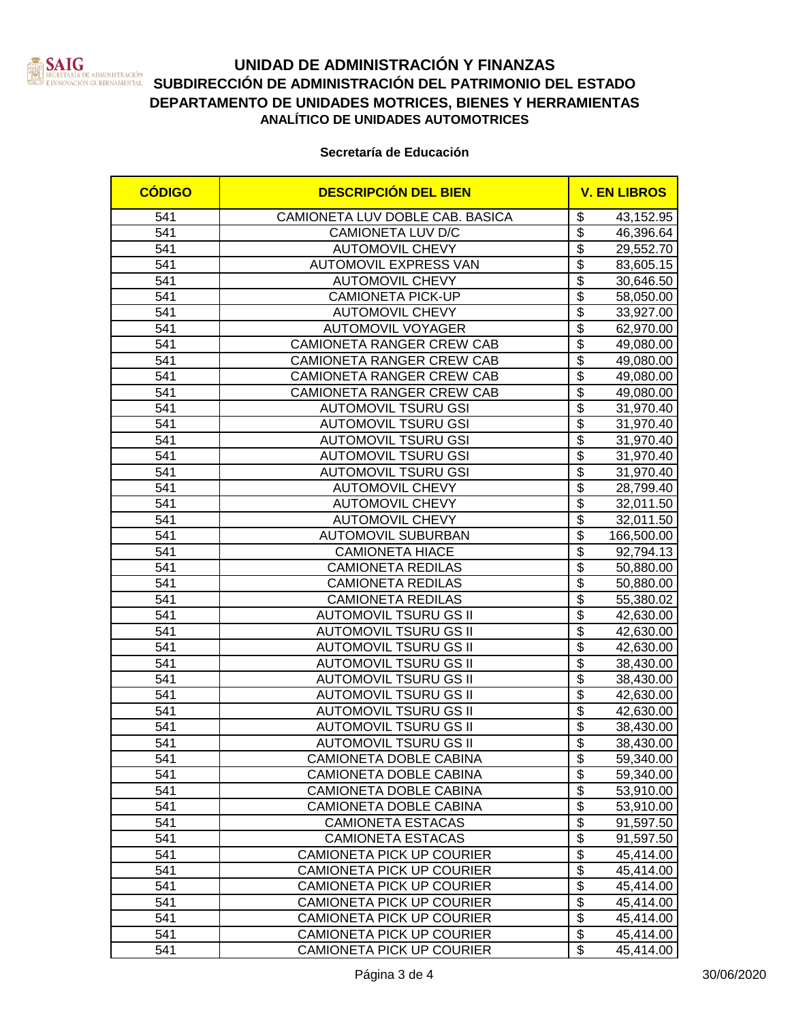

# **UNIDAD DE ADMINISTRACIÓN Y FINANZAS SATURE DE ADMINISTRACIÓN SUBDIRECCIÓN DE ADMINISTRACIÓN DEL PATRIMONIO DEL ESTADO**<br>ERNOVACIÓN CUBRINAMENTAL SUBDIRECCIÓN DE ADMINISTRACIÓN DEL PATRIMONIO DEL ESTADO **DEPARTAMENTO DE UNIDADES MOTRICES, BIENES Y HERRAMIENTAS ANALÍTICO DE UNIDADES AUTOMOTRICES**

#### **Secretaría de Educación**

| 541<br>CAMIONETA LUV DOBLE CAB. BASICA<br>\$<br>43,152.95<br>$\overline{\mathbf{e}}$<br>541<br>CAMIONETA LUV D/C<br>46,396.64<br>$\overline{\$}$<br>541<br><b>AUTOMOVIL CHEVY</b><br>29,552.70<br>$\overline{\$}$<br>541<br>AUTOMOVIL EXPRESS VAN<br>83,605.15<br>$\overline{\$}$<br><b>AUTOMOVIL CHEVY</b><br>541<br>30,646.50<br>$\overline{\$}$<br>541<br><b>CAMIONETA PICK-UP</b><br>58,050.00<br>$\overline{\$}$<br>541<br><b>AUTOMOVIL CHEVY</b><br>33,927.00<br>$\overline{\$}$<br>541<br><b>AUTOMOVIL VOYAGER</b><br>62,970.00<br>$\overline{\$}$<br>541<br><b>CAMIONETA RANGER CREW CAB</b><br>49,080.00<br>$\overline{\$}$<br>541<br>CAMIONETA RANGER CREW CAB<br>49,080.00<br>$\overline{\$}$<br>541<br>CAMIONETA RANGER CREW CAB<br>49,080.00<br>$\overline{\$}$<br>541<br>CAMIONETA RANGER CREW CAB<br>49,080.00<br>$\overline{\$}$<br>541<br><b>AUTOMOVIL TSURU GSI</b><br>31,970.40<br>$\overline{\$}$<br>541<br><b>AUTOMOVIL TSURU GSI</b><br>31,970.40<br>$\overline{\$}$<br>541<br><b>AUTOMOVIL TSURU GSI</b><br>31,970.40<br>$\overline{\$}$<br>541<br><b>AUTOMOVIL TSURU GSI</b><br>31,970.40<br>$\overline{\$}$<br>541<br><b>AUTOMOVIL TSURU GSI</b><br>31,970.40<br>\$<br>541<br><b>AUTOMOVIL CHEVY</b><br>28,799.40<br>$\overline{\mathbf{S}}$<br>541<br><b>AUTOMOVIL CHEVY</b><br>32,011.50<br>$\overline{\$}$<br>541<br><b>AUTOMOVIL CHEVY</b><br>32,011.50<br>$\overline{\$}$<br><b>AUTOMOVIL SUBURBAN</b><br>541<br>166,500.00<br>$\overline{\$}$<br>541<br><b>CAMIONETA HIACE</b><br>92,794.13<br>$\overline{\mathbf{S}}$<br>541<br><b>CAMIONETA REDILAS</b><br>50,880.00<br>$\overline{\$}$<br>541<br><b>CAMIONETA REDILAS</b><br>50,880.00<br>$\overline{\$}$<br>541<br><b>CAMIONETA REDILAS</b><br>55,380.02<br>$\overline{\$}$<br><b>AUTOMOVIL TSURU GS II</b><br>541<br>42,630.00<br>$\overline{\$}$<br><b>AUTOMOVIL TSURU GS II</b><br>541<br>42,630.00<br>$\overline{\$}$<br>541<br><b>AUTOMOVIL TSURU GS II</b><br>42,630.00<br>$\overline{\$}$<br>541<br><b>AUTOMOVIL TSURU GS II</b><br>38,430.00<br>$\overline{\$}$<br>541<br><b>AUTOMOVIL TSURU GS II</b><br>38,430.00<br>$\overline{\$}$<br>541<br><b>AUTOMOVIL TSURU GS II</b><br>42,630.00<br>$\overline{\mathcal{L}}$<br>541<br><b>AUTOMOVIL TSURU GS II</b><br>42,630.00<br>$\overline{\$}$<br>541<br><b>AUTOMOVIL TSURU GS II</b><br>38,430.00<br>$\overline{\$}$<br>541<br><b>AUTOMOVIL TSURU GS II</b><br>38,430.00<br>541<br>CAMIONETA DOBLE CABINA<br>\$<br>59,340.00<br>$\overline{\mathbf{e}}$<br>541<br>CAMIONETA DOBLE CABINA<br>59,340.00<br>$\overline{\$}$<br>541<br>CAMIONETA DOBLE CABINA<br>53,910.00<br>$\overline{\mathcal{L}}$<br>541<br>CAMIONETA DOBLE CABINA<br>53,910.00<br>$\overline{\$}$<br>541<br><b>CAMIONETA ESTACAS</b><br>91,597.50<br>$\overline{\mathbf{e}}$<br>541<br><b>CAMIONETA ESTACAS</b><br>91,597.50<br>$\overline{\mathbf{e}}$<br>541<br>CAMIONETA PICK UP COURIER<br>45,414.00<br>$\overline{\$}$<br>541<br>CAMIONETA PICK UP COURIER<br>45,414.00<br>$\overline{\$}$<br>541<br><b>CAMIONETA PICK UP COURIER</b><br>45,414.00<br>$\overline{\boldsymbol{\theta}}$<br>541<br>45,414.00 | <b>CÓDIGO</b> | <b>DESCRIPCIÓN DEL BIEN</b> | <b>V. EN LIBROS</b> |  |
|------------------------------------------------------------------------------------------------------------------------------------------------------------------------------------------------------------------------------------------------------------------------------------------------------------------------------------------------------------------------------------------------------------------------------------------------------------------------------------------------------------------------------------------------------------------------------------------------------------------------------------------------------------------------------------------------------------------------------------------------------------------------------------------------------------------------------------------------------------------------------------------------------------------------------------------------------------------------------------------------------------------------------------------------------------------------------------------------------------------------------------------------------------------------------------------------------------------------------------------------------------------------------------------------------------------------------------------------------------------------------------------------------------------------------------------------------------------------------------------------------------------------------------------------------------------------------------------------------------------------------------------------------------------------------------------------------------------------------------------------------------------------------------------------------------------------------------------------------------------------------------------------------------------------------------------------------------------------------------------------------------------------------------------------------------------------------------------------------------------------------------------------------------------------------------------------------------------------------------------------------------------------------------------------------------------------------------------------------------------------------------------------------------------------------------------------------------------------------------------------------------------------------------------------------------------------------------------------------------------------------------------------------------------------------------------------------------------------------------------------------------------------------------------------------------------------------------------------------------------------------------------------------------------------------------------------------------------------------------------------------------------------------------------------------------------------------------------------------------------------------|---------------|-----------------------------|---------------------|--|
|                                                                                                                                                                                                                                                                                                                                                                                                                                                                                                                                                                                                                                                                                                                                                                                                                                                                                                                                                                                                                                                                                                                                                                                                                                                                                                                                                                                                                                                                                                                                                                                                                                                                                                                                                                                                                                                                                                                                                                                                                                                                                                                                                                                                                                                                                                                                                                                                                                                                                                                                                                                                                                                                                                                                                                                                                                                                                                                                                                                                                                                                                                                              |               |                             |                     |  |
|                                                                                                                                                                                                                                                                                                                                                                                                                                                                                                                                                                                                                                                                                                                                                                                                                                                                                                                                                                                                                                                                                                                                                                                                                                                                                                                                                                                                                                                                                                                                                                                                                                                                                                                                                                                                                                                                                                                                                                                                                                                                                                                                                                                                                                                                                                                                                                                                                                                                                                                                                                                                                                                                                                                                                                                                                                                                                                                                                                                                                                                                                                                              |               |                             |                     |  |
|                                                                                                                                                                                                                                                                                                                                                                                                                                                                                                                                                                                                                                                                                                                                                                                                                                                                                                                                                                                                                                                                                                                                                                                                                                                                                                                                                                                                                                                                                                                                                                                                                                                                                                                                                                                                                                                                                                                                                                                                                                                                                                                                                                                                                                                                                                                                                                                                                                                                                                                                                                                                                                                                                                                                                                                                                                                                                                                                                                                                                                                                                                                              |               |                             |                     |  |
|                                                                                                                                                                                                                                                                                                                                                                                                                                                                                                                                                                                                                                                                                                                                                                                                                                                                                                                                                                                                                                                                                                                                                                                                                                                                                                                                                                                                                                                                                                                                                                                                                                                                                                                                                                                                                                                                                                                                                                                                                                                                                                                                                                                                                                                                                                                                                                                                                                                                                                                                                                                                                                                                                                                                                                                                                                                                                                                                                                                                                                                                                                                              |               |                             |                     |  |
|                                                                                                                                                                                                                                                                                                                                                                                                                                                                                                                                                                                                                                                                                                                                                                                                                                                                                                                                                                                                                                                                                                                                                                                                                                                                                                                                                                                                                                                                                                                                                                                                                                                                                                                                                                                                                                                                                                                                                                                                                                                                                                                                                                                                                                                                                                                                                                                                                                                                                                                                                                                                                                                                                                                                                                                                                                                                                                                                                                                                                                                                                                                              |               |                             |                     |  |
|                                                                                                                                                                                                                                                                                                                                                                                                                                                                                                                                                                                                                                                                                                                                                                                                                                                                                                                                                                                                                                                                                                                                                                                                                                                                                                                                                                                                                                                                                                                                                                                                                                                                                                                                                                                                                                                                                                                                                                                                                                                                                                                                                                                                                                                                                                                                                                                                                                                                                                                                                                                                                                                                                                                                                                                                                                                                                                                                                                                                                                                                                                                              |               |                             |                     |  |
|                                                                                                                                                                                                                                                                                                                                                                                                                                                                                                                                                                                                                                                                                                                                                                                                                                                                                                                                                                                                                                                                                                                                                                                                                                                                                                                                                                                                                                                                                                                                                                                                                                                                                                                                                                                                                                                                                                                                                                                                                                                                                                                                                                                                                                                                                                                                                                                                                                                                                                                                                                                                                                                                                                                                                                                                                                                                                                                                                                                                                                                                                                                              |               |                             |                     |  |
|                                                                                                                                                                                                                                                                                                                                                                                                                                                                                                                                                                                                                                                                                                                                                                                                                                                                                                                                                                                                                                                                                                                                                                                                                                                                                                                                                                                                                                                                                                                                                                                                                                                                                                                                                                                                                                                                                                                                                                                                                                                                                                                                                                                                                                                                                                                                                                                                                                                                                                                                                                                                                                                                                                                                                                                                                                                                                                                                                                                                                                                                                                                              |               |                             |                     |  |
|                                                                                                                                                                                                                                                                                                                                                                                                                                                                                                                                                                                                                                                                                                                                                                                                                                                                                                                                                                                                                                                                                                                                                                                                                                                                                                                                                                                                                                                                                                                                                                                                                                                                                                                                                                                                                                                                                                                                                                                                                                                                                                                                                                                                                                                                                                                                                                                                                                                                                                                                                                                                                                                                                                                                                                                                                                                                                                                                                                                                                                                                                                                              |               |                             |                     |  |
|                                                                                                                                                                                                                                                                                                                                                                                                                                                                                                                                                                                                                                                                                                                                                                                                                                                                                                                                                                                                                                                                                                                                                                                                                                                                                                                                                                                                                                                                                                                                                                                                                                                                                                                                                                                                                                                                                                                                                                                                                                                                                                                                                                                                                                                                                                                                                                                                                                                                                                                                                                                                                                                                                                                                                                                                                                                                                                                                                                                                                                                                                                                              |               |                             |                     |  |
|                                                                                                                                                                                                                                                                                                                                                                                                                                                                                                                                                                                                                                                                                                                                                                                                                                                                                                                                                                                                                                                                                                                                                                                                                                                                                                                                                                                                                                                                                                                                                                                                                                                                                                                                                                                                                                                                                                                                                                                                                                                                                                                                                                                                                                                                                                                                                                                                                                                                                                                                                                                                                                                                                                                                                                                                                                                                                                                                                                                                                                                                                                                              |               |                             |                     |  |
|                                                                                                                                                                                                                                                                                                                                                                                                                                                                                                                                                                                                                                                                                                                                                                                                                                                                                                                                                                                                                                                                                                                                                                                                                                                                                                                                                                                                                                                                                                                                                                                                                                                                                                                                                                                                                                                                                                                                                                                                                                                                                                                                                                                                                                                                                                                                                                                                                                                                                                                                                                                                                                                                                                                                                                                                                                                                                                                                                                                                                                                                                                                              |               |                             |                     |  |
|                                                                                                                                                                                                                                                                                                                                                                                                                                                                                                                                                                                                                                                                                                                                                                                                                                                                                                                                                                                                                                                                                                                                                                                                                                                                                                                                                                                                                                                                                                                                                                                                                                                                                                                                                                                                                                                                                                                                                                                                                                                                                                                                                                                                                                                                                                                                                                                                                                                                                                                                                                                                                                                                                                                                                                                                                                                                                                                                                                                                                                                                                                                              |               |                             |                     |  |
|                                                                                                                                                                                                                                                                                                                                                                                                                                                                                                                                                                                                                                                                                                                                                                                                                                                                                                                                                                                                                                                                                                                                                                                                                                                                                                                                                                                                                                                                                                                                                                                                                                                                                                                                                                                                                                                                                                                                                                                                                                                                                                                                                                                                                                                                                                                                                                                                                                                                                                                                                                                                                                                                                                                                                                                                                                                                                                                                                                                                                                                                                                                              |               |                             |                     |  |
|                                                                                                                                                                                                                                                                                                                                                                                                                                                                                                                                                                                                                                                                                                                                                                                                                                                                                                                                                                                                                                                                                                                                                                                                                                                                                                                                                                                                                                                                                                                                                                                                                                                                                                                                                                                                                                                                                                                                                                                                                                                                                                                                                                                                                                                                                                                                                                                                                                                                                                                                                                                                                                                                                                                                                                                                                                                                                                                                                                                                                                                                                                                              |               |                             |                     |  |
|                                                                                                                                                                                                                                                                                                                                                                                                                                                                                                                                                                                                                                                                                                                                                                                                                                                                                                                                                                                                                                                                                                                                                                                                                                                                                                                                                                                                                                                                                                                                                                                                                                                                                                                                                                                                                                                                                                                                                                                                                                                                                                                                                                                                                                                                                                                                                                                                                                                                                                                                                                                                                                                                                                                                                                                                                                                                                                                                                                                                                                                                                                                              |               |                             |                     |  |
|                                                                                                                                                                                                                                                                                                                                                                                                                                                                                                                                                                                                                                                                                                                                                                                                                                                                                                                                                                                                                                                                                                                                                                                                                                                                                                                                                                                                                                                                                                                                                                                                                                                                                                                                                                                                                                                                                                                                                                                                                                                                                                                                                                                                                                                                                                                                                                                                                                                                                                                                                                                                                                                                                                                                                                                                                                                                                                                                                                                                                                                                                                                              |               |                             |                     |  |
|                                                                                                                                                                                                                                                                                                                                                                                                                                                                                                                                                                                                                                                                                                                                                                                                                                                                                                                                                                                                                                                                                                                                                                                                                                                                                                                                                                                                                                                                                                                                                                                                                                                                                                                                                                                                                                                                                                                                                                                                                                                                                                                                                                                                                                                                                                                                                                                                                                                                                                                                                                                                                                                                                                                                                                                                                                                                                                                                                                                                                                                                                                                              |               |                             |                     |  |
|                                                                                                                                                                                                                                                                                                                                                                                                                                                                                                                                                                                                                                                                                                                                                                                                                                                                                                                                                                                                                                                                                                                                                                                                                                                                                                                                                                                                                                                                                                                                                                                                                                                                                                                                                                                                                                                                                                                                                                                                                                                                                                                                                                                                                                                                                                                                                                                                                                                                                                                                                                                                                                                                                                                                                                                                                                                                                                                                                                                                                                                                                                                              |               |                             |                     |  |
|                                                                                                                                                                                                                                                                                                                                                                                                                                                                                                                                                                                                                                                                                                                                                                                                                                                                                                                                                                                                                                                                                                                                                                                                                                                                                                                                                                                                                                                                                                                                                                                                                                                                                                                                                                                                                                                                                                                                                                                                                                                                                                                                                                                                                                                                                                                                                                                                                                                                                                                                                                                                                                                                                                                                                                                                                                                                                                                                                                                                                                                                                                                              |               |                             |                     |  |
|                                                                                                                                                                                                                                                                                                                                                                                                                                                                                                                                                                                                                                                                                                                                                                                                                                                                                                                                                                                                                                                                                                                                                                                                                                                                                                                                                                                                                                                                                                                                                                                                                                                                                                                                                                                                                                                                                                                                                                                                                                                                                                                                                                                                                                                                                                                                                                                                                                                                                                                                                                                                                                                                                                                                                                                                                                                                                                                                                                                                                                                                                                                              |               |                             |                     |  |
|                                                                                                                                                                                                                                                                                                                                                                                                                                                                                                                                                                                                                                                                                                                                                                                                                                                                                                                                                                                                                                                                                                                                                                                                                                                                                                                                                                                                                                                                                                                                                                                                                                                                                                                                                                                                                                                                                                                                                                                                                                                                                                                                                                                                                                                                                                                                                                                                                                                                                                                                                                                                                                                                                                                                                                                                                                                                                                                                                                                                                                                                                                                              |               |                             |                     |  |
|                                                                                                                                                                                                                                                                                                                                                                                                                                                                                                                                                                                                                                                                                                                                                                                                                                                                                                                                                                                                                                                                                                                                                                                                                                                                                                                                                                                                                                                                                                                                                                                                                                                                                                                                                                                                                                                                                                                                                                                                                                                                                                                                                                                                                                                                                                                                                                                                                                                                                                                                                                                                                                                                                                                                                                                                                                                                                                                                                                                                                                                                                                                              |               |                             |                     |  |
|                                                                                                                                                                                                                                                                                                                                                                                                                                                                                                                                                                                                                                                                                                                                                                                                                                                                                                                                                                                                                                                                                                                                                                                                                                                                                                                                                                                                                                                                                                                                                                                                                                                                                                                                                                                                                                                                                                                                                                                                                                                                                                                                                                                                                                                                                                                                                                                                                                                                                                                                                                                                                                                                                                                                                                                                                                                                                                                                                                                                                                                                                                                              |               |                             |                     |  |
|                                                                                                                                                                                                                                                                                                                                                                                                                                                                                                                                                                                                                                                                                                                                                                                                                                                                                                                                                                                                                                                                                                                                                                                                                                                                                                                                                                                                                                                                                                                                                                                                                                                                                                                                                                                                                                                                                                                                                                                                                                                                                                                                                                                                                                                                                                                                                                                                                                                                                                                                                                                                                                                                                                                                                                                                                                                                                                                                                                                                                                                                                                                              |               |                             |                     |  |
|                                                                                                                                                                                                                                                                                                                                                                                                                                                                                                                                                                                                                                                                                                                                                                                                                                                                                                                                                                                                                                                                                                                                                                                                                                                                                                                                                                                                                                                                                                                                                                                                                                                                                                                                                                                                                                                                                                                                                                                                                                                                                                                                                                                                                                                                                                                                                                                                                                                                                                                                                                                                                                                                                                                                                                                                                                                                                                                                                                                                                                                                                                                              |               |                             |                     |  |
|                                                                                                                                                                                                                                                                                                                                                                                                                                                                                                                                                                                                                                                                                                                                                                                                                                                                                                                                                                                                                                                                                                                                                                                                                                                                                                                                                                                                                                                                                                                                                                                                                                                                                                                                                                                                                                                                                                                                                                                                                                                                                                                                                                                                                                                                                                                                                                                                                                                                                                                                                                                                                                                                                                                                                                                                                                                                                                                                                                                                                                                                                                                              |               |                             |                     |  |
|                                                                                                                                                                                                                                                                                                                                                                                                                                                                                                                                                                                                                                                                                                                                                                                                                                                                                                                                                                                                                                                                                                                                                                                                                                                                                                                                                                                                                                                                                                                                                                                                                                                                                                                                                                                                                                                                                                                                                                                                                                                                                                                                                                                                                                                                                                                                                                                                                                                                                                                                                                                                                                                                                                                                                                                                                                                                                                                                                                                                                                                                                                                              |               |                             |                     |  |
|                                                                                                                                                                                                                                                                                                                                                                                                                                                                                                                                                                                                                                                                                                                                                                                                                                                                                                                                                                                                                                                                                                                                                                                                                                                                                                                                                                                                                                                                                                                                                                                                                                                                                                                                                                                                                                                                                                                                                                                                                                                                                                                                                                                                                                                                                                                                                                                                                                                                                                                                                                                                                                                                                                                                                                                                                                                                                                                                                                                                                                                                                                                              |               |                             |                     |  |
|                                                                                                                                                                                                                                                                                                                                                                                                                                                                                                                                                                                                                                                                                                                                                                                                                                                                                                                                                                                                                                                                                                                                                                                                                                                                                                                                                                                                                                                                                                                                                                                                                                                                                                                                                                                                                                                                                                                                                                                                                                                                                                                                                                                                                                                                                                                                                                                                                                                                                                                                                                                                                                                                                                                                                                                                                                                                                                                                                                                                                                                                                                                              |               |                             |                     |  |
|                                                                                                                                                                                                                                                                                                                                                                                                                                                                                                                                                                                                                                                                                                                                                                                                                                                                                                                                                                                                                                                                                                                                                                                                                                                                                                                                                                                                                                                                                                                                                                                                                                                                                                                                                                                                                                                                                                                                                                                                                                                                                                                                                                                                                                                                                                                                                                                                                                                                                                                                                                                                                                                                                                                                                                                                                                                                                                                                                                                                                                                                                                                              |               |                             |                     |  |
|                                                                                                                                                                                                                                                                                                                                                                                                                                                                                                                                                                                                                                                                                                                                                                                                                                                                                                                                                                                                                                                                                                                                                                                                                                                                                                                                                                                                                                                                                                                                                                                                                                                                                                                                                                                                                                                                                                                                                                                                                                                                                                                                                                                                                                                                                                                                                                                                                                                                                                                                                                                                                                                                                                                                                                                                                                                                                                                                                                                                                                                                                                                              |               |                             |                     |  |
|                                                                                                                                                                                                                                                                                                                                                                                                                                                                                                                                                                                                                                                                                                                                                                                                                                                                                                                                                                                                                                                                                                                                                                                                                                                                                                                                                                                                                                                                                                                                                                                                                                                                                                                                                                                                                                                                                                                                                                                                                                                                                                                                                                                                                                                                                                                                                                                                                                                                                                                                                                                                                                                                                                                                                                                                                                                                                                                                                                                                                                                                                                                              |               |                             |                     |  |
|                                                                                                                                                                                                                                                                                                                                                                                                                                                                                                                                                                                                                                                                                                                                                                                                                                                                                                                                                                                                                                                                                                                                                                                                                                                                                                                                                                                                                                                                                                                                                                                                                                                                                                                                                                                                                                                                                                                                                                                                                                                                                                                                                                                                                                                                                                                                                                                                                                                                                                                                                                                                                                                                                                                                                                                                                                                                                                                                                                                                                                                                                                                              |               |                             |                     |  |
|                                                                                                                                                                                                                                                                                                                                                                                                                                                                                                                                                                                                                                                                                                                                                                                                                                                                                                                                                                                                                                                                                                                                                                                                                                                                                                                                                                                                                                                                                                                                                                                                                                                                                                                                                                                                                                                                                                                                                                                                                                                                                                                                                                                                                                                                                                                                                                                                                                                                                                                                                                                                                                                                                                                                                                                                                                                                                                                                                                                                                                                                                                                              |               |                             |                     |  |
|                                                                                                                                                                                                                                                                                                                                                                                                                                                                                                                                                                                                                                                                                                                                                                                                                                                                                                                                                                                                                                                                                                                                                                                                                                                                                                                                                                                                                                                                                                                                                                                                                                                                                                                                                                                                                                                                                                                                                                                                                                                                                                                                                                                                                                                                                                                                                                                                                                                                                                                                                                                                                                                                                                                                                                                                                                                                                                                                                                                                                                                                                                                              |               |                             |                     |  |
|                                                                                                                                                                                                                                                                                                                                                                                                                                                                                                                                                                                                                                                                                                                                                                                                                                                                                                                                                                                                                                                                                                                                                                                                                                                                                                                                                                                                                                                                                                                                                                                                                                                                                                                                                                                                                                                                                                                                                                                                                                                                                                                                                                                                                                                                                                                                                                                                                                                                                                                                                                                                                                                                                                                                                                                                                                                                                                                                                                                                                                                                                                                              |               |                             |                     |  |
|                                                                                                                                                                                                                                                                                                                                                                                                                                                                                                                                                                                                                                                                                                                                                                                                                                                                                                                                                                                                                                                                                                                                                                                                                                                                                                                                                                                                                                                                                                                                                                                                                                                                                                                                                                                                                                                                                                                                                                                                                                                                                                                                                                                                                                                                                                                                                                                                                                                                                                                                                                                                                                                                                                                                                                                                                                                                                                                                                                                                                                                                                                                              |               |                             |                     |  |
|                                                                                                                                                                                                                                                                                                                                                                                                                                                                                                                                                                                                                                                                                                                                                                                                                                                                                                                                                                                                                                                                                                                                                                                                                                                                                                                                                                                                                                                                                                                                                                                                                                                                                                                                                                                                                                                                                                                                                                                                                                                                                                                                                                                                                                                                                                                                                                                                                                                                                                                                                                                                                                                                                                                                                                                                                                                                                                                                                                                                                                                                                                                              |               |                             |                     |  |
|                                                                                                                                                                                                                                                                                                                                                                                                                                                                                                                                                                                                                                                                                                                                                                                                                                                                                                                                                                                                                                                                                                                                                                                                                                                                                                                                                                                                                                                                                                                                                                                                                                                                                                                                                                                                                                                                                                                                                                                                                                                                                                                                                                                                                                                                                                                                                                                                                                                                                                                                                                                                                                                                                                                                                                                                                                                                                                                                                                                                                                                                                                                              |               |                             |                     |  |
|                                                                                                                                                                                                                                                                                                                                                                                                                                                                                                                                                                                                                                                                                                                                                                                                                                                                                                                                                                                                                                                                                                                                                                                                                                                                                                                                                                                                                                                                                                                                                                                                                                                                                                                                                                                                                                                                                                                                                                                                                                                                                                                                                                                                                                                                                                                                                                                                                                                                                                                                                                                                                                                                                                                                                                                                                                                                                                                                                                                                                                                                                                                              |               |                             |                     |  |
|                                                                                                                                                                                                                                                                                                                                                                                                                                                                                                                                                                                                                                                                                                                                                                                                                                                                                                                                                                                                                                                                                                                                                                                                                                                                                                                                                                                                                                                                                                                                                                                                                                                                                                                                                                                                                                                                                                                                                                                                                                                                                                                                                                                                                                                                                                                                                                                                                                                                                                                                                                                                                                                                                                                                                                                                                                                                                                                                                                                                                                                                                                                              |               |                             |                     |  |
|                                                                                                                                                                                                                                                                                                                                                                                                                                                                                                                                                                                                                                                                                                                                                                                                                                                                                                                                                                                                                                                                                                                                                                                                                                                                                                                                                                                                                                                                                                                                                                                                                                                                                                                                                                                                                                                                                                                                                                                                                                                                                                                                                                                                                                                                                                                                                                                                                                                                                                                                                                                                                                                                                                                                                                                                                                                                                                                                                                                                                                                                                                                              |               |                             |                     |  |
| $\overline{\$}$<br>541<br><b>CAMIONETA PICK UP COURIER</b>                                                                                                                                                                                                                                                                                                                                                                                                                                                                                                                                                                                                                                                                                                                                                                                                                                                                                                                                                                                                                                                                                                                                                                                                                                                                                                                                                                                                                                                                                                                                                                                                                                                                                                                                                                                                                                                                                                                                                                                                                                                                                                                                                                                                                                                                                                                                                                                                                                                                                                                                                                                                                                                                                                                                                                                                                                                                                                                                                                                                                                                                   |               | CAMIONETA PICK UP COURIER   |                     |  |
| 45,414.00<br>\$<br>541                                                                                                                                                                                                                                                                                                                                                                                                                                                                                                                                                                                                                                                                                                                                                                                                                                                                                                                                                                                                                                                                                                                                                                                                                                                                                                                                                                                                                                                                                                                                                                                                                                                                                                                                                                                                                                                                                                                                                                                                                                                                                                                                                                                                                                                                                                                                                                                                                                                                                                                                                                                                                                                                                                                                                                                                                                                                                                                                                                                                                                                                                                       |               |                             |                     |  |
| CAMIONETA PICK UP COURIER<br>45,414.00<br>$\overline{\mathcal{S}}$<br>541<br>CAMIONETA PICK UP COURIER<br>45,414.00                                                                                                                                                                                                                                                                                                                                                                                                                                                                                                                                                                                                                                                                                                                                                                                                                                                                                                                                                                                                                                                                                                                                                                                                                                                                                                                                                                                                                                                                                                                                                                                                                                                                                                                                                                                                                                                                                                                                                                                                                                                                                                                                                                                                                                                                                                                                                                                                                                                                                                                                                                                                                                                                                                                                                                                                                                                                                                                                                                                                          |               |                             |                     |  |